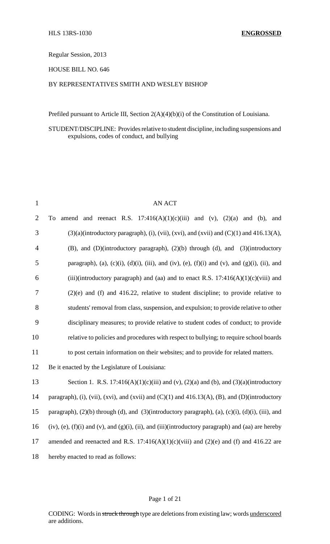Regular Session, 2013

HOUSE BILL NO. 646

### BY REPRESENTATIVES SMITH AND WESLEY BISHOP

Prefiled pursuant to Article III, Section 2(A)(4)(b)(i) of the Constitution of Louisiana.

## STUDENT/DISCIPLINE: Provides relative to student discipline, including suspensions and expulsions, codes of conduct, and bullying

| $\mathbf{1}$   | <b>AN ACT</b>                                                                                                     |
|----------------|-------------------------------------------------------------------------------------------------------------------|
| $\overline{2}$ | amend and reenact R.S. $17:416(A)(1)(c)(iii)$ and (v), $(2)(a)$ and (b), and<br>To                                |
| 3              | $(3)(a)$ (introductory paragraph), (i), (vii), (xvi), and (xvii) and (C)(1) and 416.13(A),                        |
| $\overline{4}$ | (B), and (D)(introductory paragraph), (2)(b) through (d), and (3)(introductory                                    |
| 5              | paragraph), (a), (c)(i), (d)(i), (iii), and (iv), (e), (f)(i) and (v), and (g)(i), (ii), and                      |
| 6              | (iii)(introductory paragraph) and (aa) and to enact R.S. $17:416(A)(1)(c)(viii)$ and                              |
| 7              | $(2)(e)$ and (f) and 416.22, relative to student discipline; to provide relative to                               |
| 8              | students' removal from class, suspension, and expulsion; to provide relative to other                             |
| 9              | disciplinary measures; to provide relative to student codes of conduct; to provide                                |
| 10             | relative to policies and procedures with respect to bullying; to require school boards                            |
| 11             | to post certain information on their websites; and to provide for related matters.                                |
| 12             | Be it enacted by the Legislature of Louisiana:                                                                    |
| 13             | Section 1. R.S. 17:416(A)(1)(c)(iii) and (v), (2)(a) and (b), and (3)(a)(introductory                             |
| 14             | paragraph), (i), (vii), (xvi), and (xvii) and (C)(1) and 416.13(A), (B), and (D)(introductory                     |
| 15             | paragraph), $(2)(b)$ through (d), and $(3)(introductory paragraph)$ , $(a)$ , $(c)(i)$ , $(d)(i)$ , $(iii)$ , and |
| 16             | $(iv)$ , (e), (f)(i) and (v), and (g)(i), (ii), and (iii)(introductory paragraph) and (aa) are hereby             |
| 17             | amended and reenacted and R.S. 17:416(A)(1)(c)(viii) and (2)(e) and (f) and 416.22 are                            |
| 18             | hereby enacted to read as follows:                                                                                |
|                |                                                                                                                   |

#### Page 1 of 21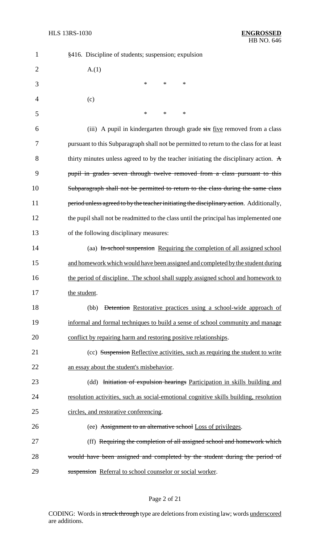| $\mathbf{1}$   | §416. Discipline of students; suspension; expulsion                                            |
|----------------|------------------------------------------------------------------------------------------------|
| $\overline{2}$ | A(1)                                                                                           |
| 3              | $\ast$<br>$\ast$<br>$\ast$                                                                     |
| $\overline{4}$ | (c)                                                                                            |
| 5              | $\ast$<br>$\ast$<br>∗                                                                          |
| 6              | (iii) A pupil in kindergarten through grade six five removed from a class                      |
| 7              | pursuant to this Subparagraph shall not be permitted to return to the class for at least       |
| 8              | thirty minutes unless agreed to by the teacher initiating the disciplinary action. $\mathbf A$ |
| 9              | pupil in grades seven through twelve removed from a class pursuant to this                     |
| 10             | Subparagraph shall not be permitted to return to the class during the same class               |
| 11             | period unless agreed to by the teacher initiating the disciplinary action. Additionally,       |
| 12             | the pupil shall not be readmitted to the class until the principal has implemented one         |
| 13             | of the following disciplinary measures:                                                        |
| 14             | (aa) In-school suspension Requiring the completion of all assigned school                      |
| 15             | and homework which would have been assigned and completed by the student during                |
| 16             | the period of discipline. The school shall supply assigned school and homework to              |
| 17             | the student.                                                                                   |
| 18             | Detention Restorative practices using a school-wide approach of<br>(bb)                        |
| 19             | informal and formal techniques to build a sense of school community and manage                 |
| 20             | conflict by repairing harm and restoring positive relationships.                               |
| 21             | (cc) Suspension Reflective activities, such as requiring the student to write                  |
| 22             | an essay about the student's misbehavior.                                                      |
| 23             | (dd) Initiation of expulsion hearings Participation in skills building and                     |
| 24             | resolution activities, such as social-emotional cognitive skills building, resolution          |
| 25             | circles, and restorative conferencing.                                                         |
| 26             | (ee) Assignment to an alternative school Loss of privileges.                                   |
| 27             | (ff) Requiring the completion of all assigned school and homework which                        |
| 28             | would have been assigned and completed by the student during the period of                     |
| 29             | suspension Referral to school counselor or social worker.                                      |

# Page 2 of 21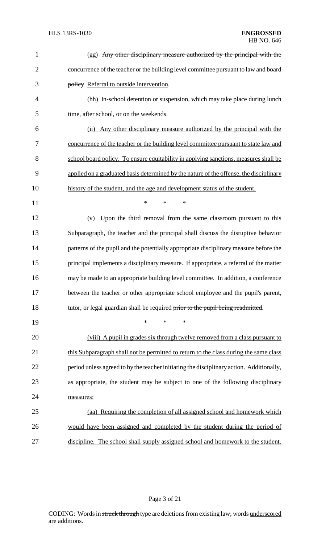| $\mathbf{1}$   | (gg) Any other disciplinary measure authorized by the principal with the                 |
|----------------|------------------------------------------------------------------------------------------|
| $\overline{2}$ | concurrence of the teacher or the building level committee pursuant to law and board     |
| 3              | policy Referral to outside intervention.                                                 |
| $\overline{4}$ | (hh) In-school detention or suspension, which may take place during lunch                |
| 5              | time, after school, or on the weekends.                                                  |
| 6              | Any other disciplinary measure authorized by the principal with the<br>(ii)              |
| 7              | concurrence of the teacher or the building level committee pursuant to state law and     |
| 8              | school board policy. To ensure equitability in applying sanctions, measures shall be     |
| 9              | applied on a graduated basis determined by the nature of the offense, the disciplinary   |
| 10             | history of the student, and the age and development status of the student.               |
| 11             | $\ast$<br>*<br>$\ast$                                                                    |
| 12             | Upon the third removal from the same classroom pursuant to this<br>(v)                   |
| 13             | Subparagraph, the teacher and the principal shall discuss the disruptive behavior        |
| 14             | patterns of the pupil and the potentially appropriate disciplinary measure before the    |
| 15             | principal implements a disciplinary measure. If appropriate, a referral of the matter    |
| 16             | may be made to an appropriate building level committee. In addition, a conference        |
| 17             | between the teacher or other appropriate school employee and the pupil's parent,         |
| 18             | tutor, or legal guardian shall be required prior to the pupil being readmitted.          |
| 19             | *<br>*<br>∗                                                                              |
| 20             | (viii) A pupil in grades six through twelve removed from a class pursuant to             |
| 21             | this Subparagraph shall not be permitted to return to the class during the same class    |
| 22             | period unless agreed to by the teacher initiating the disciplinary action. Additionally, |
| 23             | as appropriate, the student may be subject to one of the following disciplinary          |
| 24             | measures:                                                                                |
| 25             | (aa) Requiring the completion of all assigned school and homework which                  |
| 26             | would have been assigned and completed by the student during the period of               |
| 27             | discipline. The school shall supply assigned school and homework to the student.         |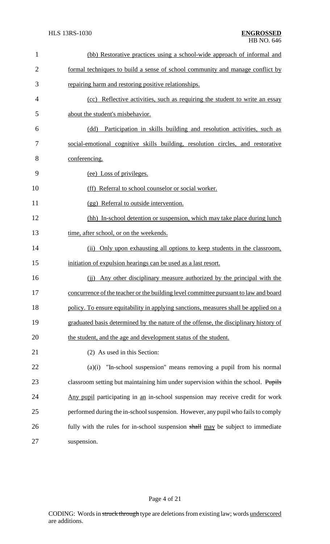| $\mathbf{1}$   | (bb) Restorative practices using a school-wide approach of informal and              |
|----------------|--------------------------------------------------------------------------------------|
| $\overline{2}$ | formal techniques to build a sense of school community and manage conflict by        |
| 3              | repairing harm and restoring positive relationships.                                 |
| $\overline{4}$ | (cc) Reflective activities, such as requiring the student to write an essay          |
| 5              | about the student's misbehavior.                                                     |
| 6              | Participation in skills building and resolution activities, such as<br>(dd)          |
| 7              | social-emotional cognitive skills building, resolution circles, and restorative      |
| 8              | conferencing.                                                                        |
| 9              | (ee) Loss of privileges.                                                             |
| 10             | (ff) Referral to school counselor or social worker.                                  |
| 11             | (gg) Referral to outside intervention.                                               |
| 12             | (hh) In-school detention or suspension, which may take place during lunch            |
| 13             | time, after school, or on the weekends.                                              |
| 14             | (ii) Only upon exhausting all options to keep students in the classroom,             |
| 15             | initiation of expulsion hearings can be used as a last resort.                       |
| 16             | Any other disciplinary measure authorized by the principal with the<br>(ii)          |
| 17             | concurrence of the teacher or the building level committee pursuant to law and board |
| 18             | policy. To ensure equitability in applying sanctions, measures shall be applied on a |
| 19             | graduated basis determined by the nature of the offense, the disciplinary history of |
| 20             | the student, and the age and development status of the student.                      |
| 21             | (2) As used in this Section:                                                         |
| 22             | "In-school suspension" means removing a pupil from his normal<br>(a)(i)              |
| 23             | classroom setting but maintaining him under supervision within the school. Pupils    |
| 24             | Any pupil participating in an in-school suspension may receive credit for work       |
| 25             | performed during the in-school suspension. However, any pupil who fails to comply    |
| 26             | fully with the rules for in-school suspension shall may be subject to immediate      |
| 27             | suspension.                                                                          |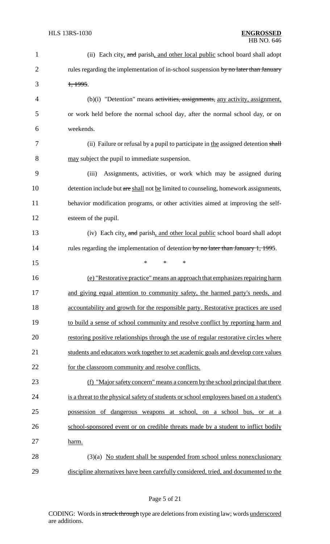| $\mathbf{1}$   | (ii) Each city, and parish, and other local public school board shall adopt             |
|----------------|-----------------------------------------------------------------------------------------|
| $\overline{2}$ | rules regarding the implementation of in-school suspension by no later than January     |
| 3              | 1,1995.                                                                                 |
| $\overline{4}$ | (b)(i) "Detention" means activities, assignments, any activity, assignment,             |
| 5              | or work held before the normal school day, after the normal school day, or on           |
| 6              | weekends.                                                                               |
| 7              | (ii) Failure or refusal by a pupil to participate in the assigned detention shall       |
| 8              | may subject the pupil to immediate suspension.                                          |
| 9              | Assignments, activities, or work which may be assigned during<br>(iii)                  |
| 10             | detention include but are shall not be limited to counseling, homework assignments,     |
| 11             | behavior modification programs, or other activities aimed at improving the self-        |
| 12             | esteem of the pupil.                                                                    |
| 13             | (iv) Each city, and parish, and other local public school board shall adopt             |
| 14             | rules regarding the implementation of detention by no later than January 1, 1995.       |
| 15             | *<br>$\ast$<br>∗                                                                        |
| 16             | (e) "Restorative practice" means an approach that emphasizes repairing harm             |
| 17             | and giving equal attention to community safety, the harmed party's needs, and           |
| 18             | accountability and growth for the responsible party. Restorative practices are used     |
| 19             | to build a sense of school community and resolve conflict by reporting harm and         |
| 20             | restoring positive relationships through the use of regular restorative circles where   |
| 21             | students and educators work together to set academic goals and develop core values      |
| 22             | for the classroom community and resolve conflicts.                                      |
| 23             | (f) "Major safety concern" means a concern by the school principal that there           |
| 24             | is a threat to the physical safety of students or school employees based on a student's |
| 25             | possession of dangerous weapons at school, on a school bus, or at a                     |
| 26             | school-sponsored event or on credible threats made by a student to inflict bodily       |
| 27             | harm.                                                                                   |
| 28             | $(3)(a)$ No student shall be suspended from school unless nonexclusionary               |
| 29             | discipline alternatives have been carefully considered, tried, and documented to the    |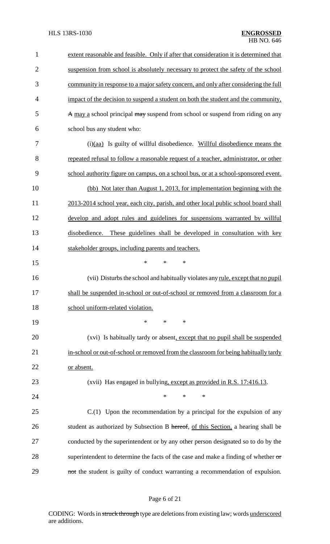| $\mathbf{1}$   | extent reasonable and feasible. Only if after that consideration it is determined that   |
|----------------|------------------------------------------------------------------------------------------|
| $\overline{2}$ | suspension from school is absolutely necessary to protect the safety of the school       |
| 3              | community in response to a major safety concern, and only after considering the full     |
| 4              | impact of the decision to suspend a student on both the student and the community,       |
| 5              | A may a school principal may suspend from school or suspend from riding on any           |
| 6              | school bus any student who:                                                              |
| 7              | (i)(aa) Is guilty of willful disobedience. Willful disobedience means the                |
| 8              | repeated refusal to follow a reasonable request of a teacher, administrator, or other    |
| 9              | school authority figure on campus, on a school bus, or at a school-sponsored event.      |
| 10             | (bb) Not later than August 1, 2013, for implementation beginning with the                |
| 11             | 2013-2014 school year, each city, parish, and other local public school board shall      |
| 12             | develop and adopt rules and guidelines for suspensions warranted by willful              |
| 13             | disobedience. These guidelines shall be developed in consultation with key               |
| 14             | stakeholder groups, including parents and teachers.                                      |
| 15             | *<br>$\ast$<br>*                                                                         |
| 16             | (vii) Disturbs the school and habitually violates any rule, except that no pupil         |
| 17             | shall be suspended in-school or out-of-school or removed from a classroom for a          |
| 18             | school uniform-related violation.                                                        |
| 19             | *<br>$\ast$<br>∗                                                                         |
| 20             | (xvi) Is habitually tardy or absent, except that no pupil shall be suspended             |
| 21             | in-school or out-of-school or removed from the classroom for being habitually tardy      |
| 22             | or absent.                                                                               |
| 23             | (xvii) Has engaged in bullying, except as provided in R.S. 17:416.13.                    |
| 24             | *<br>∗<br>*                                                                              |
| 25             | $C(1)$ Upon the recommendation by a principal for the expulsion of any                   |
| 26             | student as authorized by Subsection B hereof, of this Section, a hearing shall be        |
| 27             | conducted by the superintendent or by any other person designated so to do by the        |
| 28             | superintendent to determine the facts of the case and make a finding of whether $\sigma$ |
| 29             | not the student is guilty of conduct warranting a recommendation of expulsion.           |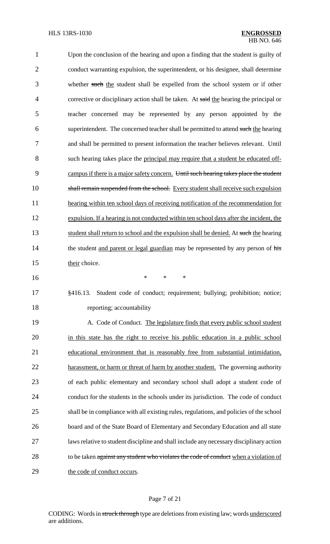| $\mathbf{1}$   | Upon the conclusion of the hearing and upon a finding that the student is guilty of     |
|----------------|-----------------------------------------------------------------------------------------|
| $\overline{2}$ | conduct warranting expulsion, the superintendent, or his designee, shall determine      |
| 3              | whether such the student shall be expelled from the school system or if other           |
| 4              | corrective or disciplinary action shall be taken. At said the hearing the principal or  |
| 5              | teacher concerned may be represented by any person appointed by the                     |
| 6              | superintendent. The concerned teacher shall be permitted to attend such the hearing     |
| 7              | and shall be permitted to present information the teacher believes relevant. Until      |
| 8              | such hearing takes place the principal may require that a student be educated off-      |
| 9              | campus if there is a major safety concern. Until such hearing takes place the student   |
| 10             | shall remain suspended from the school. Every student shall receive such expulsion      |
| 11             | hearing within ten school days of receiving notification of the recommendation for      |
| 12             | expulsion. If a hearing is not conducted within ten school days after the incident, the |
| 13             | student shall return to school and the expulsion shall be denied. At such the hearing   |
| 14             | the student and parent or legal guardian may be represented by any person of his        |
| 15             | their choice.                                                                           |
| 16             | $\ast$<br>$\ast$<br>$\ast$                                                              |
| 17             | §416.13. Student code of conduct; requirement; bullying; prohibition; notice;           |
| 18             | reporting; accountability                                                               |
| 19             | A. Code of Conduct. The legislature finds that every public school student              |
| 20             | in this state has the right to receive his public education in a public school          |
| 21             | educational environment that is reasonably free from substantial intimidation,          |
| 22             | harassment, or harm or threat of harm by another student. The governing authority       |
| 23             | of each public elementary and secondary school shall adopt a student code of            |
| 24             | conduct for the students in the schools under its jurisdiction. The code of conduct     |
| 25             | shall be in compliance with all existing rules, regulations, and policies of the school |
| 26             | board and of the State Board of Elementary and Secondary Education and all state        |
| 27             | laws relative to student discipline and shall include any necessary disciplinary action |
| 28             | to be taken against any student who violates the code of conduct when a violation of    |
|                |                                                                                         |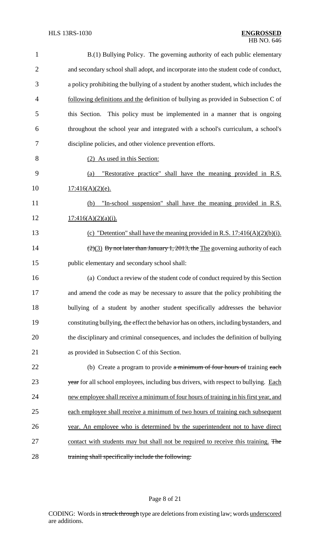| $\mathbf{1}$   | B.(1) Bullying Policy. The governing authority of each public elementary                          |
|----------------|---------------------------------------------------------------------------------------------------|
| $\overline{2}$ | and secondary school shall adopt, and incorporate into the student code of conduct,               |
| 3              | a policy prohibiting the bullying of a student by another student, which includes the             |
| 4              | following definitions and the definition of bullying as provided in Subsection C of               |
| 5              | this Section. This policy must be implemented in a manner that is ongoing                         |
| 6              | throughout the school year and integrated with a school's curriculum, a school's                  |
| 7              | discipline policies, and other violence prevention efforts.                                       |
| 8              | (2) As used in this Section:                                                                      |
| 9              | "Restorative practice" shall have the meaning provided in R.S.<br>(a)                             |
| 10             | $17:416(A)(2)(e)$ .                                                                               |
| 11             | "In-school suspension" shall have the meaning provided in R.S.<br>(b)                             |
| 12             | $17:416(A)(2)(a)(i)$ .                                                                            |
| 13             | (c) "Detention" shall have the meaning provided in R.S. $17:416(A)(2)(b)(i)$ .                    |
| 14             | $\left(\frac{2}{3}\right)$ By not later than January 1, 2013, the The governing authority of each |
| 15             | public elementary and secondary school shall:                                                     |
| 16             | (a) Conduct a review of the student code of conduct required by this Section                      |
| 17             | and amend the code as may be necessary to assure that the policy prohibiting the                  |
| 18             | bullying of a student by another student specifically addresses the behavior                      |
| 19             | constituting bullying, the effect the behavior has on others, including bystanders, and           |
| 20             | the disciplinary and criminal consequences, and includes the definition of bullying               |
| 21             | as provided in Subsection C of this Section.                                                      |
| 22             | (b) Create a program to provide a minimum of four hours of training each                          |
| 23             | year for all school employees, including bus drivers, with respect to bullying. Each              |
| 24             | new employee shall receive a minimum of four hours of training in his first year, and             |
| 25             | each employee shall receive a minimum of two hours of training each subsequent                    |
| 26             | year. An employee who is determined by the superintendent not to have direct                      |
| 27             | contact with students may but shall not be required to receive this training. The                 |
| 28             | training shall specifically include the following:                                                |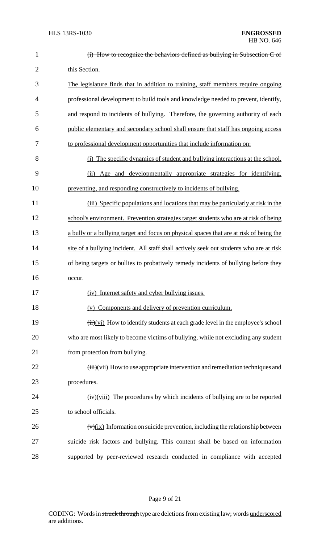| $\mathbf{1}$   | $(i)$ How to recognize the behaviors defined as bullying in Subsection C of                                    |
|----------------|----------------------------------------------------------------------------------------------------------------|
| $\overline{2}$ | this Section.                                                                                                  |
| 3              | The legislature finds that in addition to training, staff members require ongoing                              |
| 4              | professional development to build tools and knowledge needed to prevent, identify,                             |
| 5              | and respond to incidents of bullying. Therefore, the governing authority of each                               |
| 6              | public elementary and secondary school shall ensure that staff has ongoing access                              |
| 7              | to professional development opportunities that include information on:                                         |
| 8              | (i) The specific dynamics of student and bullying interactions at the school.                                  |
| 9              | (ii) Age and developmentally appropriate strategies for identifying,                                           |
| 10             | preventing, and responding constructively to incidents of bullying.                                            |
| 11             | (iii) Specific populations and locations that may be particularly at risk in the                               |
| 12             | school's environment. Prevention strategies target students who are at risk of being                           |
| 13             | a bully or a bullying target and focus on physical spaces that are at risk of being the                        |
| 14             | site of a bullying incident. All staff shall actively seek out students who are at risk                        |
| 15             | of being targets or bullies to probatively remedy incidents of bullying before they                            |
| 16             | occur.                                                                                                         |
| 17             | (iv) Internet safety and cyber bullying issues.                                                                |
| 18             | (v) Components and delivery of prevention curriculum.                                                          |
| 19             | $\overrightarrow{(ii)}$ (vi) How to identify students at each grade level in the employee's school             |
| 20             | who are most likely to become victims of bullying, while not excluding any student                             |
| 21             | from protection from bullying.                                                                                 |
| 22             | $\overrightarrow{(\text{iii})(\text{vii})}$ How to use appropriate intervention and remediation techniques and |
| 23             | procedures.                                                                                                    |
| 24             | $(\mathbf{iv})(\mathbf{v}$ The procedures by which incidents of bullying are to be reported                    |
| 25             | to school officials.                                                                                           |
| 26             | $(\text{v})(\text{ix})$ Information on suicide prevention, including the relationship between                  |
| 27             | suicide risk factors and bullying. This content shall be based on information                                  |
| 28             | supported by peer-reviewed research conducted in compliance with accepted                                      |
|                |                                                                                                                |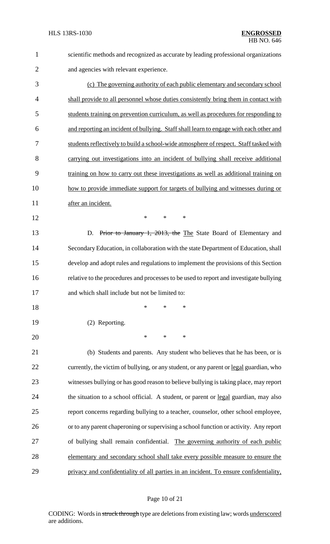| 1              | scientific methods and recognized as accurate by leading professional organizations     |
|----------------|-----------------------------------------------------------------------------------------|
| $\overline{2}$ | and agencies with relevant experience.                                                  |
| 3              | (c) The governing authority of each public elementary and secondary school              |
| 4              | shall provide to all personnel whose duties consistently bring them in contact with     |
| 5              | students training on prevention curriculum, as well as procedures for responding to     |
| 6              | and reporting an incident of bullying. Staff shall learn to engage with each other and  |
| 7              | students reflectively to build a school-wide atmosphere of respect. Staff tasked with   |
| 8              | carrying out investigations into an incident of bullying shall receive additional       |
| 9              | training on how to carry out these investigations as well as additional training on     |
| 10             | how to provide immediate support for targets of bullying and witnesses during or        |
| 11             | after an incident.                                                                      |
| 12             | $\ast$<br>*<br>$\ast$                                                                   |
| 13             | Prior to January 1, 2013, the The State Board of Elementary and<br>D.                   |
| 14             | Secondary Education, in collaboration with the state Department of Education, shall     |
| 15             | develop and adopt rules and regulations to implement the provisions of this Section     |
| 16             | relative to the procedures and processes to be used to report and investigate bullying  |
| 17             | and which shall include but not be limited to:                                          |
| 18             | $\ast$<br>*<br>*                                                                        |
| 19             | (2) Reporting.                                                                          |
| 20             | $\ast$<br>*<br>*                                                                        |
| 21             | (b) Students and parents. Any student who believes that he has been, or is              |
| 22             | currently, the victim of bullying, or any student, or any parent or legal guardian, who |
| 23             | witnesses bullying or has good reason to believe bullying is taking place, may report   |
| 24             | the situation to a school official. A student, or parent or legal guardian, may also    |
| 25             | report concerns regarding bullying to a teacher, counselor, other school employee,      |
| 26             | or to any parent chaperoning or supervising a school function or activity. Any report   |
| 27             | of bullying shall remain confidential. The governing authority of each public           |
| 28             | elementary and secondary school shall take every possible measure to ensure the         |
| 29             | privacy and confidentiality of all parties in an incident. To ensure confidentiality,   |

# Page 10 of 21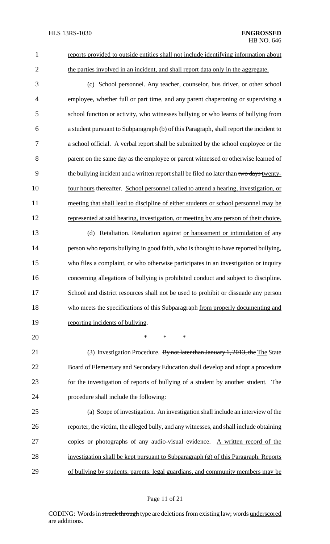1 reports provided to outside entities shall not include identifying information about 2 the parties involved in an incident, and shall report data only in the aggregate.

- 3 (c) School personnel. Any teacher, counselor, bus driver, or other school 4 employee, whether full or part time, and any parent chaperoning or supervising a 5 school function or activity, who witnesses bullying or who learns of bullying from 6 a student pursuant to Subparagraph (b) of this Paragraph, shall report the incident to 7 a school official. A verbal report shall be submitted by the school employee or the 8 parent on the same day as the employee or parent witnessed or otherwise learned of 9 the bullying incident and a written report shall be filed no later than two days twenty-10 four hours thereafter. School personnel called to attend a hearing, investigation, or 11 meeting that shall lead to discipline of either students or school personnel may be 12 represented at said hearing, investigation, or meeting by any person of their choice.
- 13 (d) Retaliation. Retaliation against or harassment or intimidation of any 14 person who reports bullying in good faith, who is thought to have reported bullying, 15 who files a complaint, or who otherwise participates in an investigation or inquiry 16 concerning allegations of bullying is prohibited conduct and subject to discipline. 17 School and district resources shall not be used to prohibit or dissuade any person 18 who meets the specifications of this Subparagraph from properly documenting and 19 reporting incidents of bullying.
- 21 (3) Investigation Procedure. By not later than January 1, 2013, the The State 22 Board of Elementary and Secondary Education shall develop and adopt a procedure 23 for the investigation of reports of bullying of a student by another student. The 24 procedure shall include the following:

20 \* \* \*

 (a) Scope of investigation. An investigation shall include an interview of the reporter, the victim, the alleged bully, and any witnesses, and shall include obtaining 27 copies or photographs of any audio-visual evidence. A written record of the investigation shall be kept pursuant to Subparagraph (g) of this Paragraph. Reports of bullying by students, parents, legal guardians, and community members may be

### Page 11 of 21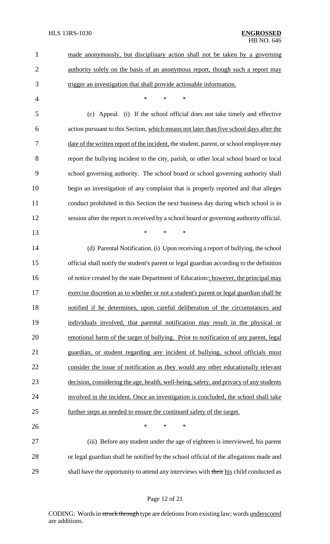| $\mathbf{1}$   | made anonymously, but disciplinary action shall not be taken by a governing              |
|----------------|------------------------------------------------------------------------------------------|
| $\overline{c}$ | authority solely on the basis of an anonymous report, though such a report may           |
| 3              | trigger an investigation that shall provide actionable information.                      |
| $\overline{4}$ | $\ast$<br>$\ast$<br>$\ast$                                                               |
| 5              | (c) Appeal. (i) If the school official does not take timely and effective                |
| 6              | action pursuant to this Section, which means not later than five school days after the   |
| 7              | date of the written report of the incident, the student, parent, or school employee may  |
| 8              | report the bullying incident to the city, parish, or other local school board or local   |
| 9              | school governing authority. The school board or school governing authority shall         |
| 10             | begin an investigation of any complaint that is properly reported and that alleges       |
| 11             | conduct prohibited in this Section the next business day during which school is in       |
| 12             | session after the report is received by a school board or governing authority official.  |
| 13             | $\ast$<br>$\ast$<br>*                                                                    |
| 14             | (d) Parental Notification. (i) Upon receiving a report of bullying, the school           |
| 15             | official shall notify the student's parent or legal guardian according to the definition |
| 16             | of notice created by the state Department of Education:; however, the principal may      |
| 17             | exercise discretion as to whether or not a student's parent or legal guardian shall be   |
| 18             | notified if he determines, upon careful deliberation of the circumstances and            |
| 19             | individuals involved, that parental notification may result in the physical or           |
| 20             | emotional harm of the target of bullying. Prior to notification of any parent, legal     |
| 21             | guardian, or student regarding any incident of bullying, school officials must           |
| 22             | consider the issue of notification as they would any other educationally relevant        |
| 23             | decision, considering the age, health, well-being, safety, and privacy of any students   |
| 24             | involved in the incident. Once an investigation is concluded, the school shall take      |
| 25             | further steps as needed to ensure the continued safety of the target.                    |
| 26             | $\ast$<br>∗<br>$\ast$                                                                    |
| 27             | (iii) Before any student under the age of eighteen is interviewed, his parent            |
| 28             | or legal guardian shall be notified by the school official of the allegations made and   |
| 29             | shall have the opportunity to attend any interviews with their his child conducted as    |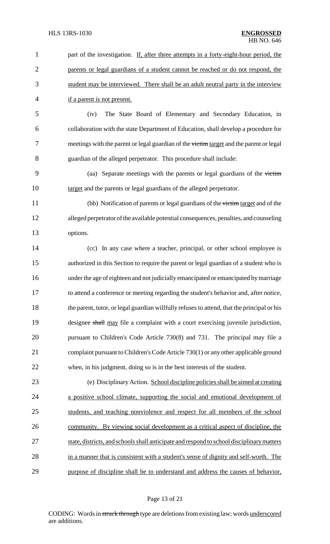| $\mathbf{1}$   | part of the investigation. If, after three attempts in a forty-eight-hour period, the       |
|----------------|---------------------------------------------------------------------------------------------|
| $\overline{2}$ | parents or legal guardians of a student cannot be reached or do not respond, the            |
| 3              | student may be interviewed. There shall be an adult neutral party in the interview          |
| 4              | if a parent is not present.                                                                 |
| 5              | The State Board of Elementary and Secondary Education, in<br>(iv)                           |
| 6              | collaboration with the state Department of Education, shall develop a procedure for         |
| 7              | meetings with the parent or legal guardian of the victim target and the parent or legal     |
| 8              | guardian of the alleged perpetrator. This procedure shall include:                          |
| 9              | (aa) Separate meetings with the parents or legal guardians of the victim                    |
| 10             | target and the parents or legal guardians of the alleged perpetrator.                       |
| 11             | (bb) Notification of parents or legal guardians of the victim target and of the             |
| 12             | alleged perpetrator of the available potential consequences, penalties, and counseling      |
| 13             | options.                                                                                    |
| 14             | (cc) In any case where a teacher, principal, or other school employee is                    |
| 15             | authorized in this Section to require the parent or legal guardian of a student who is      |
| 16             | under the age of eighteen and not judicially emancipated or emancipated by marriage         |
| 17             | to attend a conference or meeting regarding the student's behavior and, after notice,       |
| 18             | the parent, tutor, or legal guardian willfully refuses to attend, that the principal or his |
| 19             | designee shall may file a complaint with a court exercising juvenile jurisdiction,          |
| 20             | pursuant to Children's Code Article 730(8) and 731. The principal may file a                |
| 21             | complaint pursuant to Children's Code Article 730(1) or any other applicable ground         |
| 22             | when, in his judgment, doing so is in the best interests of the student.                    |
| 23             | (e) Disciplinary Action. School discipline policies shall be aimed at creating              |
| 24             | a positive school climate, supporting the social and emotional development of               |
| 25             | students, and teaching nonviolence and respect for all members of the school                |
| 26             | community. By viewing social development as a critical aspect of discipline, the            |
| 27             | state, districts, and schools shall anticipate and respond to school disciplinary matters   |
| 28             | in a manner that is consistent with a student's sense of dignity and self-worth. The        |
| 29             | purpose of discipline shall be to understand and address the causes of behavior,            |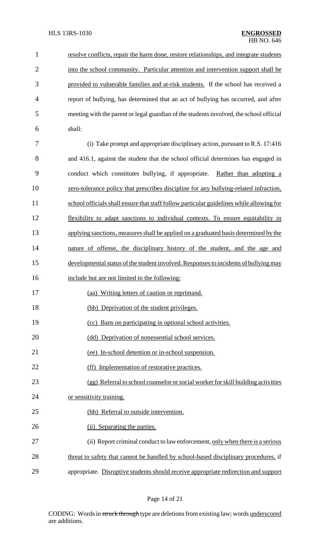| $\mathbf{1}$   | resolve conflicts, repair the harm done, restore relationships, and integrate students   |
|----------------|------------------------------------------------------------------------------------------|
| $\overline{2}$ | into the school community. Particular attention and intervention support shall be        |
| 3              | provided to vulnerable families and at-risk students. If the school has received a       |
| $\overline{4}$ | report of bullying, has determined that an act of bullying has occurred, and after       |
| 5              | meeting with the parent or legal guardian of the students involved, the school official  |
| 6              | shall:                                                                                   |
| 7              | (i) Take prompt and appropriate disciplinary action, pursuant to R.S. 17:416             |
| 8              | and 416.1, against the student that the school official determines has engaged in        |
| 9              | conduct which constitutes bullying, if appropriate. Rather than adopting a               |
| 10             | zero-tolerance policy that prescribes discipline for any bullying-related infraction,    |
| 11             | school officials shall ensure that staff follow particular guidelines while allowing for |
| 12             | flexibility to adapt sanctions to individual contexts. To ensure equitability in         |
| 13             | applying sanctions, measures shall be applied on a graduated basis determined by the     |
| 14             | nature of offense, the disciplinary history of the student, and the age and              |
| 15             | developmental status of the student involved. Responses to incidents of bullying may     |
| 16             | include but are not limited to the following:                                            |
| 17             | (aa) Writing letters of caution or reprimand.                                            |
| 18             | (bb) Deprivation of the student privileges.                                              |
| 19             | (cc) Bans on participating in optional school activities.                                |
| 20             | (dd) Deprivation of nonessential school services.                                        |
| 21             | (ee) In-school detention or in-school suspension.                                        |
| 22             | (ff) Implementation of restorative practices.                                            |
| 23             | (gg) Referral to school counselor or social worker for skill building activities         |
| 24             | or sensitivity training.                                                                 |
| 25             | (hh) Referral to outside intervention.                                                   |
| 26             | (ii) Separating the parties.                                                             |
| 27             | (ii) Report criminal conduct to law enforcement, only when there is a serious            |
| 28             | threat to safety that cannot be handled by school-based disciplinary procedures, if      |
| 29             | appropriate. Disruptive students should receive appropriate redirection and support      |

# Page 14 of 21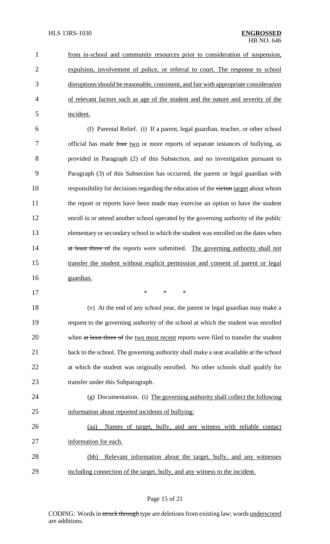from in-school and community resources prior to consideration of suspension, expulsion, involvement of police, or referral to court. The response to school 3 disruptions should be reasonable, consistent, and fair with appropriate consideration of relevant factors such as age of the student and the nature and severity of the incident.

 (f) Parental Relief. (i) If a parent, legal guardian, teacher, or other school 7 official has made four two or more reports of separate instances of bullying, as provided in Paragraph (2) of this Subsection, and no investigation pursuant to Paragraph (3) of this Subsection has occurred, the parent or legal guardian with 10 responsibility for decisions regarding the education of the victim target about whom the report or reports have been made may exercise an option to have the student enroll in or attend another school operated by the governing authority of the public elementary or secondary school in which the student was enrolled on the dates when 14 at least three of the reports were submitted. The governing authority shall not transfer the student without explicit permission and consent of parent or legal guardian.

- - \* \* \*

 (v) At the end of any school year, the parent or legal guardian may make a request to the governing authority of the school at which the student was enrolled 20 when at least three of the two most recent reports were filed to transfer the student back to the school. The governing authority shall make a seat available at the school at which the student was originally enrolled. No other schools shall qualify for 23 transfer under this Subparagraph.

- (g) Documentation. (i) The governing authority shall collect the following information about reported incidents of bullying:
- (aa) Names of target, bully, and any witness with reliable contact information for each. (bb) Relevant information about the target, bully, and any witnesses
- including connection of the target, bully, and any witness to the incident.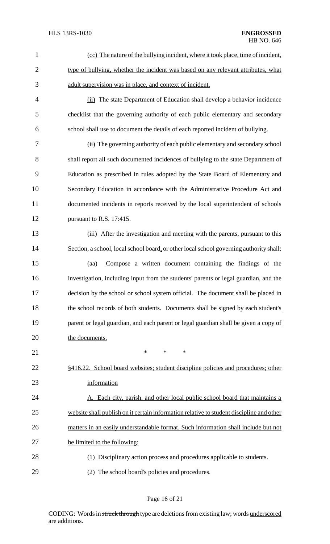| $\mathbf{1}$   | (cc) The nature of the bullying incident, where it took place, time of incident,         |
|----------------|------------------------------------------------------------------------------------------|
| $\overline{2}$ | type of bullying, whether the incident was based on any relevant attributes, what        |
| 3              | adult supervision was in place, and context of incident.                                 |
| $\overline{4}$ | (ii) The state Department of Education shall develop a behavior incidence                |
| 5              | checklist that the governing authority of each public elementary and secondary           |
| 6              | school shall use to document the details of each reported incident of bullying.          |
| 7              | (iii) The governing authority of each public elementary and secondary school             |
| 8              | shall report all such documented incidences of bullying to the state Department of       |
| 9              | Education as prescribed in rules adopted by the State Board of Elementary and            |
| 10             | Secondary Education in accordance with the Administrative Procedure Act and              |
| 11             | documented incidents in reports received by the local superintendent of schools          |
| 12             | pursuant to R.S. 17:415.                                                                 |
| 13             | (iii) After the investigation and meeting with the parents, pursuant to this             |
| 14             | Section, a school, local school board, or other local school governing authority shall:  |
| 15             | Compose a written document containing the findings of the<br>(aa)                        |
| 16             | investigation, including input from the students' parents or legal guardian, and the     |
| 17             | decision by the school or school system official. The document shall be placed in        |
| 18             | the school records of both students. Documents shall be signed by each student's         |
| 19             | parent or legal guardian, and each parent or legal guardian shall be given a copy of     |
| 20             | the documents.                                                                           |
| 21             | $\ast$<br>$\ast$<br>∗                                                                    |
| 22             | §416.22. School board websites; student discipline policies and procedures; other        |
| 23             | information                                                                              |
| 24             | A. Each city, parish, and other local public school board that maintains a               |
| 25             | website shall publish on it certain information relative to student discipline and other |
| 26             | matters in an easily understandable format. Such information shall include but not       |
| 27             | be limited to the following:                                                             |
| 28             | (1) Disciplinary action process and procedures applicable to students.                   |
| 29             | The school board's policies and procedures.<br>(2)                                       |

# Page 16 of 21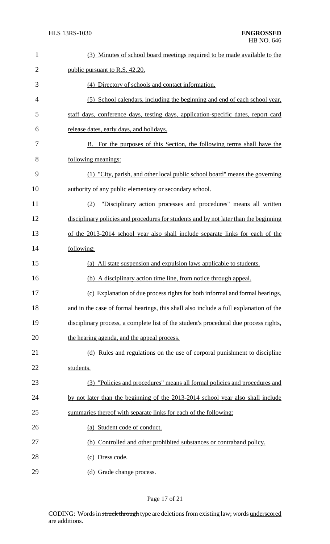| $\mathbf{1}$   | (3) Minutes of school board meetings required to be made available to the             |
|----------------|---------------------------------------------------------------------------------------|
| $\overline{2}$ | public pursuant to R.S. 42.20.                                                        |
| 3              | (4) Directory of schools and contact information.                                     |
| $\overline{4}$ | (5) School calendars, including the beginning and end of each school year,            |
| 5              | staff days, conference days, testing days, application-specific dates, report card    |
| 6              | release dates, early days, and holidays.                                              |
| 7              | B. For the purposes of this Section, the following terms shall have the               |
| 8              | following meanings:                                                                   |
| 9              | (1) "City, parish, and other local public school board" means the governing           |
| 10             | authority of any public elementary or secondary school.                               |
| 11             | "Disciplinary action processes and procedures" means all written<br>(2)               |
| 12             | disciplinary policies and procedures for students and by not later than the beginning |
| 13             | of the 2013-2014 school year also shall include separate links for each of the        |
| 14             | following:                                                                            |
| 15             | (a) All state suspension and expulsion laws applicable to students.                   |
| 16             | (b) A disciplinary action time line, from notice through appeal.                      |
| 17             | (c) Explanation of due process rights for both informal and formal hearings,          |
| 18             | and in the case of formal hearings, this shall also include a full explanation of the |
| 19             | disciplinary process, a complete list of the student's procedural due process rights, |
| 20             | the hearing agenda, and the appeal process.                                           |
| 21             | (d) Rules and regulations on the use of corporal punishment to discipline             |
| 22             | students.                                                                             |
| 23             | (3) "Policies and procedures" means all formal policies and procedures and            |
| 24             | by not later than the beginning of the 2013-2014 school year also shall include       |
| 25             | summaries thereof with separate links for each of the following:                      |
| 26             | (a) Student code of conduct.                                                          |
| 27             | (b) Controlled and other prohibited substances or contraband policy.                  |
| 28             | (c) Dress code.                                                                       |
| 29             | (d) Grade change process.                                                             |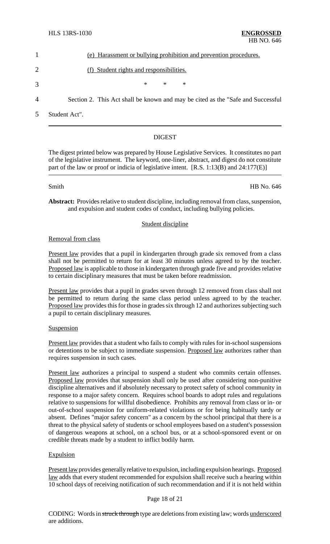| (e) Harassment or bullying prohibition and prevention procedures. |
|-------------------------------------------------------------------|
| (f) Student rights and responsibilities.                          |
| ж<br>∗<br>ж                                                       |

4 Section 2. This Act shall be known and may be cited as the "Safe and Successful

5 Student Act".

## DIGEST

The digest printed below was prepared by House Legislative Services. It constitutes no part of the legislative instrument. The keyword, one-liner, abstract, and digest do not constitute part of the law or proof or indicia of legislative intent. [R.S. 1:13(B) and 24:177(E)]

Smith HB No. 646

**Abstract:** Provides relative to student discipline, including removal from class, suspension, and expulsion and student codes of conduct, including bullying policies.

## Student discipline

Removal from class

Present law provides that a pupil in kindergarten through grade six removed from a class shall not be permitted to return for at least 30 minutes unless agreed to by the teacher. Proposed law is applicable to those in kindergarten through grade five and provides relative to certain disciplinary measures that must be taken before readmission.

Present law provides that a pupil in grades seven through 12 removed from class shall not be permitted to return during the same class period unless agreed to by the teacher. Proposed law provides this for those in grades six through 12 and authorizes subjecting such a pupil to certain disciplinary measures.

**Suspension** 

Present law provides that a student who fails to comply with rules for in-school suspensions or detentions to be subject to immediate suspension. Proposed law authorizes rather than requires suspension in such cases.

Present law authorizes a principal to suspend a student who commits certain offenses. Proposed law provides that suspension shall only be used after considering non-punitive discipline alternatives and if absolutely necessary to protect safety of school community in response to a major safety concern. Requires school boards to adopt rules and regulations relative to suspensions for willful disobedience. Prohibits any removal from class or in- or out-of-school suspension for uniform-related violations or for being habitually tardy or absent. Defines "major safety concern" as a concern by the school principal that there is a threat to the physical safety of students or school employees based on a student's possession of dangerous weapons at school, on a school bus, or at a school-sponsored event or on credible threats made by a student to inflict bodily harm.

## **Expulsion**

Present law provides generallyrelative to expulsion, including expulsion hearings. Proposed law adds that every student recommended for expulsion shall receive such a hearing within 10 school days of receiving notification of such recommendation and if it is not held within

## Page 18 of 21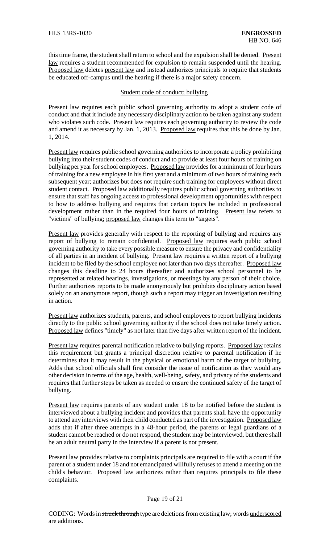this time frame, the student shall return to school and the expulsion shall be denied. Present law requires a student recommended for expulsion to remain suspended until the hearing. Proposed law deletes present law and instead authorizes principals to require that students be educated off-campus until the hearing if there is a major safety concern.

### Student code of conduct; bullying

Present law requires each public school governing authority to adopt a student code of conduct and that it include any necessary disciplinary action to be taken against any student who violates such code. Present law requires each governing authority to review the code and amend it as necessary by Jan. 1, 2013. Proposed law requires that this be done by Jan. 1, 2014.

Present law requires public school governing authorities to incorporate a policy prohibiting bullying into their student codes of conduct and to provide at least four hours of training on bullying per year for school employees. Proposed law provides for a minimum of four hours of training for a new employee in his first year and a minimum of two hours of training each subsequent year; authorizes but does not require such training for employees without direct student contact. Proposed law additionally requires public school governing authorities to ensure that staff has ongoing access to professional development opportunities with respect to how to address bullying and requires that certain topics be included in professional development rather than in the required four hours of training. Present law refers to "victims" of bullying; proposed law changes this term to "targets".

Present law provides generally with respect to the reporting of bullying and requires any report of bullying to remain confidential. Proposed law requires each public school governing authority to take every possible measure to ensure the privacy and confidentiality of all parties in an incident of bullying. Present law requires a written report of a bullying incident to be filed by the school employee not later than two days thereafter. Proposed law changes this deadline to 24 hours thereafter and authorizes school personnel to be represented at related hearings, investigations, or meetings by any person of their choice. Further authorizes reports to be made anonymously but prohibits disciplinary action based solely on an anonymous report, though such a report may trigger an investigation resulting in action.

Present law authorizes students, parents, and school employees to report bullying incidents directly to the public school governing authority if the school does not take timely action. Proposed law defines "timely" as not later than five days after written report of the incident.

Present law requires parental notification relative to bullying reports. Proposed law retains this requirement but grants a principal discretion relative to parental notification if he determines that it may result in the physical or emotional harm of the target of bullying. Adds that school officials shall first consider the issue of notification as they would any other decision in terms of the age, health, well-being, safety, and privacy of the students and requires that further steps be taken as needed to ensure the continued safety of the target of bullying.

Present law requires parents of any student under 18 to be notified before the student is interviewed about a bullying incident and provides that parents shall have the opportunity to attend any interviews with their child conducted as part of the investigation. Proposed law adds that if after three attempts in a 48-hour period, the parents or legal guardians of a student cannot be reached or do not respond, the student may be interviewed, but there shall be an adult neutral party in the interview if a parent is not present.

Present law provides relative to complaints principals are required to file with a court if the parent of a student under 18 and not emancipated willfully refuses to attend a meeting on the child's behavior. Proposed law authorizes rather than requires principals to file these complaints.

### Page 19 of 21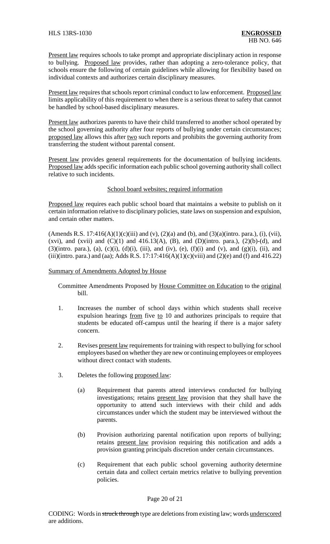Present law requires schools to take prompt and appropriate disciplinary action in response to bullying. Proposed law provides, rather than adopting a zero-tolerance policy, that schools ensure the following of certain guidelines while allowing for flexibility based on individual contexts and authorizes certain disciplinary measures.

Present law requires that schools report criminal conduct to law enforcement. Proposed law limits applicability of this requirement to when there is a serious threat to safety that cannot be handled by school-based disciplinary measures.

Present law authorizes parents to have their child transferred to another school operated by the school governing authority after four reports of bullying under certain circumstances; proposed law allows this after two such reports and prohibits the governing authority from transferring the student without parental consent.

Present law provides general requirements for the documentation of bullying incidents. Proposed law adds specific information each public school governing authority shall collect relative to such incidents.

### School board websites; required information

Proposed law requires each public school board that maintains a website to publish on it certain information relative to disciplinary policies, state laws on suspension and expulsion, and certain other matters.

(Amends R.S. 17:416(A)(1)(c)(iii) and (v), (2)(a) and (b), and (3)(a)(intro. para.), (i), (vii), (xvi), and (xvii) and  $(C)(1)$  and  $(416.13(A), (B),$  and  $(D)(intro. para.), (2)(b)-(d),$  and  $(3)($ intro. para.), (a), (c)(i), (d)(i), (iii), and (iv), (e), (f)(i) and (v), and (g)(i), (ii), and (iii)(intro. para.) and (aa); Adds R.S. 17:17:416(A)(1)(c)(viii) and (2)(e) and (f) and 416.22)

#### Summary of Amendments Adopted by House

Committee Amendments Proposed by House Committee on Education to the original bill.

- 1. Increases the number of school days within which students shall receive expulsion hearings from five to 10 and authorizes principals to require that students be educated off-campus until the hearing if there is a major safety concern.
- 2. Revises present law requirements for training with respect to bullying for school employees based on whether they are new or continuing employees or employees without direct contact with students.
- 3. Deletes the following proposed law:
	- (a) Requirement that parents attend interviews conducted for bullying investigations; retains present law provision that they shall have the opportunity to attend such interviews with their child and adds circumstances under which the student may be interviewed without the parents.
	- (b) Provision authorizing parental notification upon reports of bullying; retains present law provision requiring this notification and adds a provision granting principals discretion under certain circumstances.
	- (c) Requirement that each public school governing authority determine certain data and collect certain metrics relative to bullying prevention policies.